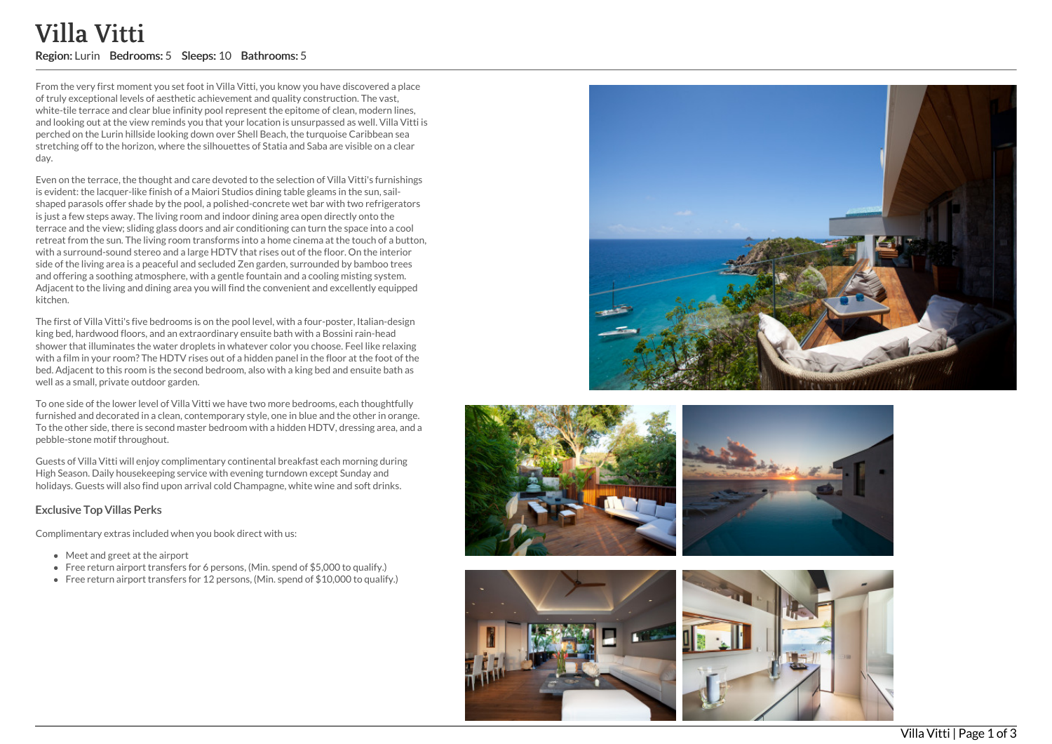From the very first moment you set foot in Villa Vitti, you know you have discovered a place of truly exceptional levels of aesthetic achievement and quality construction. The vast, white-tile terrace and clear blue infinity pool represent the epitome of clean, modern lines, and looking out at the view reminds you that your location is unsurpassed as well. Villa Vitti is perched on the Lurin hillside looking down over Shell Beach, the turquoise Caribbean sea stretching off to the horizon, where the silhouettes of Statia and Saba are visible on a clear day.

Even on the terrace, the thought and care devoted to the selection of Villa Vitti's furnishings is evident: the lacquer-like finish of a Maiori Studios dining table gleams in the sun, sail shaped parasols offer shade by the pool, a polished-concrete wet bar with two refrigerators is just a few steps away. The living room and indoor dining area open directly onto the terrace and the view; sliding glass doors and air conditioning can turn the space into a cool retreat from the sun. The living room transforms into a home cinema at the touch of a button, with a surround-sound stereo and a large HDTV that rises out of the floor. On the interior side of the living area is a peaceful and secluded Zen garden, surrounded by bamboo trees and offering a soothing atmosphere, with a gentle fountain and a cooling misting system. Adjacent to the living and dining area you will find the convenient and excellently equipped kitchen. **From the very first moment you set foot in Villa Vitti, you know you have discovered a of truly exceptional levels of setstetic cabilerement and auth) troots while the form while the terrace and delar bute infinity coor r** 

The first of Villa Vitti's five bedrooms is on the pool level, with a four-poster, Italian-design king bed, hardwood floors, and an extraordinary ensuite bath with a Bossini rain-head shower that illuminates the water droplets in whatever color you choose. Feel like relaxing with a film in your room? The HDTV rises out of a hidden panel in the floor at the foot of the bed. Adjacent to this room is the second bedroom, also with a king bed and ensuite bath as well as a small, private outdoor garden.

To one side of the lower level of Villa Vitti we have two more bedrooms, each thoughtfully furnished and decorated in a clean, contemporary style, one in blue and the other in orange. To the other side, there is second master bedroom with a hidden HDTV, dressing area, and a pebble-stone motif throughout.

Guests of Villa Vitti will enjoy complimentary continental breakfast each morning during High Season. Daily housekeeping service with evening turndown except Sunday and holidays. Guests will also find upon arrival cold Champagne, white wine and soft drinks.

## Exclusive Top Villas Perks

Complimentary extras included when you book direct with us:

- Meet and greet at the airport
- Free return airport transfers for 6 persons, (Min. spend of \$5,000 to qualify.)
- 







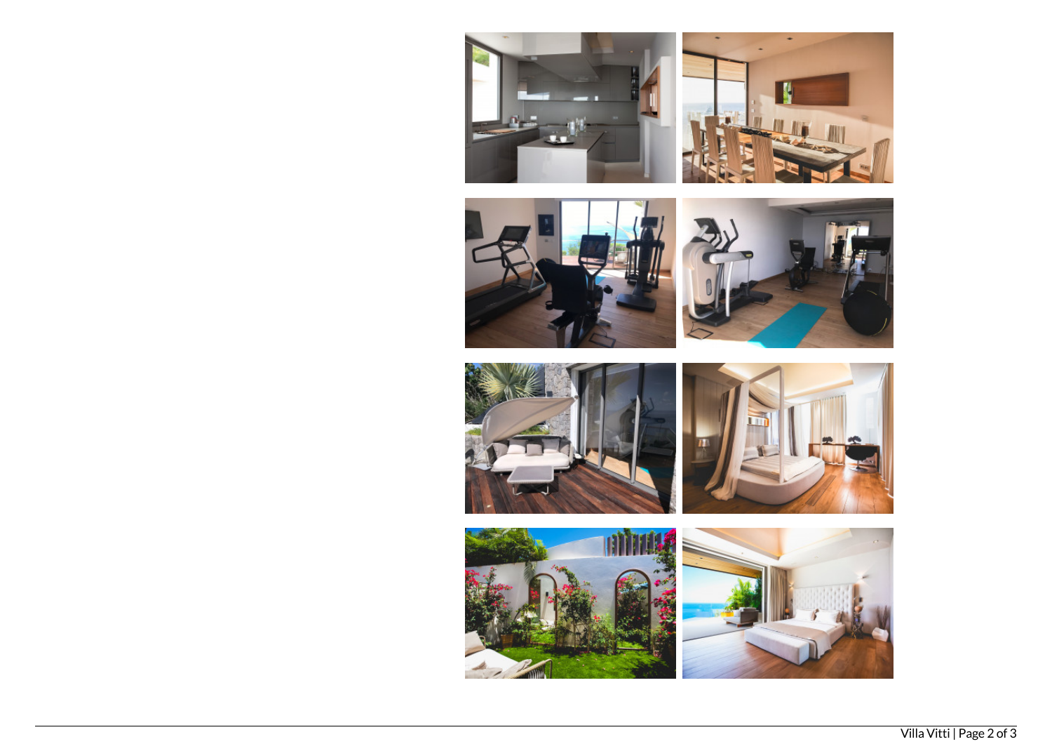